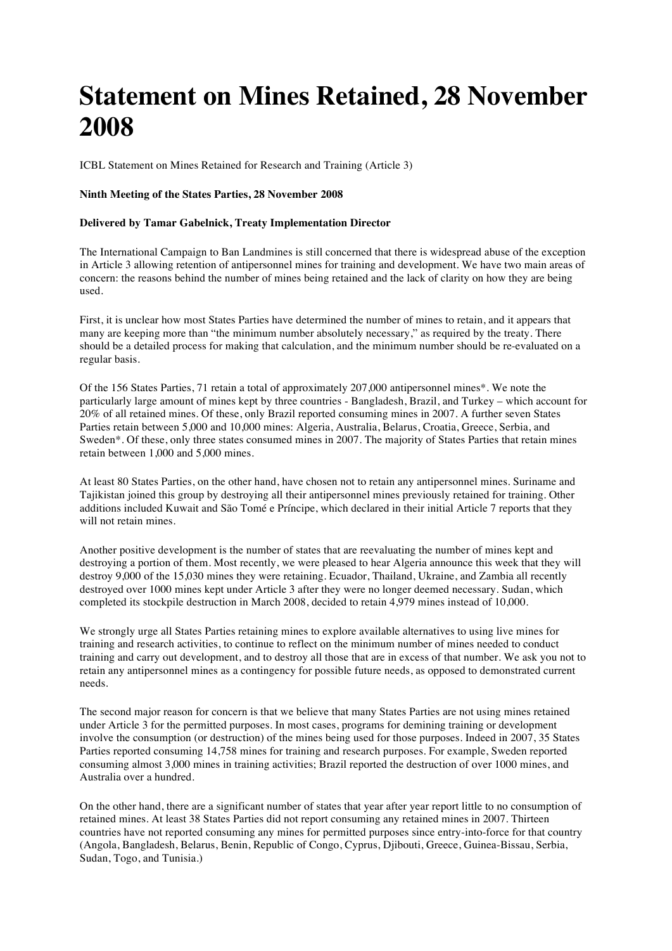## **Statement on Mines Retained, 28 November 2008**

ICBL Statement on Mines Retained for Research and Training (Article 3)

## **Ninth Meeting of the States Parties, 28 November 2008**

## **Delivered by Tamar Gabelnick, Treaty Implementation Director**

The International Campaign to Ban Landmines is still concerned that there is widespread abuse of the exception in Article 3 allowing retention of antipersonnel mines for training and development. We have two main areas of concern: the reasons behind the number of mines being retained and the lack of clarity on how they are being used.

First, it is unclear how most States Parties have determined the number of mines to retain, and it appears that many are keeping more than "the minimum number absolutely necessary," as required by the treaty. There should be a detailed process for making that calculation, and the minimum number should be re-evaluated on a regular basis.

Of the 156 States Parties, 71 retain a total of approximately 207,000 antipersonnel mines\*. We note the particularly large amount of mines kept by three countries - Bangladesh, Brazil, and Turkey – which account for 20% of all retained mines. Of these, only Brazil reported consuming mines in 2007. A further seven States Parties retain between 5,000 and 10,000 mines: Algeria, Australia, Belarus, Croatia, Greece, Serbia, and Sweden\*. Of these, only three states consumed mines in 2007. The majority of States Parties that retain mines retain between 1,000 and 5,000 mines.

At least 80 States Parties, on the other hand, have chosen not to retain any antipersonnel mines. Suriname and Tajikistan joined this group by destroying all their antipersonnel mines previously retained for training. Other additions included Kuwait and São Tomé e Príncipe, which declared in their initial Article 7 reports that they will not retain mines.

Another positive development is the number of states that are reevaluating the number of mines kept and destroying a portion of them. Most recently, we were pleased to hear Algeria announce this week that they will destroy 9,000 of the 15,030 mines they were retaining. Ecuador, Thailand, Ukraine, and Zambia all recently destroyed over 1000 mines kept under Article 3 after they were no longer deemed necessary. Sudan, which completed its stockpile destruction in March 2008, decided to retain 4,979 mines instead of 10,000.

We strongly urge all States Parties retaining mines to explore available alternatives to using live mines for training and research activities, to continue to reflect on the minimum number of mines needed to conduct training and carry out development, and to destroy all those that are in excess of that number. We ask you not to retain any antipersonnel mines as a contingency for possible future needs, as opposed to demonstrated current needs.

The second major reason for concern is that we believe that many States Parties are not using mines retained under Article 3 for the permitted purposes. In most cases, programs for demining training or development involve the consumption (or destruction) of the mines being used for those purposes. Indeed in 2007, 35 States Parties reported consuming 14,758 mines for training and research purposes. For example, Sweden reported consuming almost 3,000 mines in training activities; Brazil reported the destruction of over 1000 mines, and Australia over a hundred.

On the other hand, there are a significant number of states that year after year report little to no consumption of retained mines. At least 38 States Parties did not report consuming any retained mines in 2007. Thirteen countries have not reported consuming any mines for permitted purposes since entry-into-force for that country (Angola, Bangladesh, Belarus, Benin, Republic of Congo, Cyprus, Djibouti, Greece, Guinea-Bissau, Serbia, Sudan, Togo, and Tunisia.)